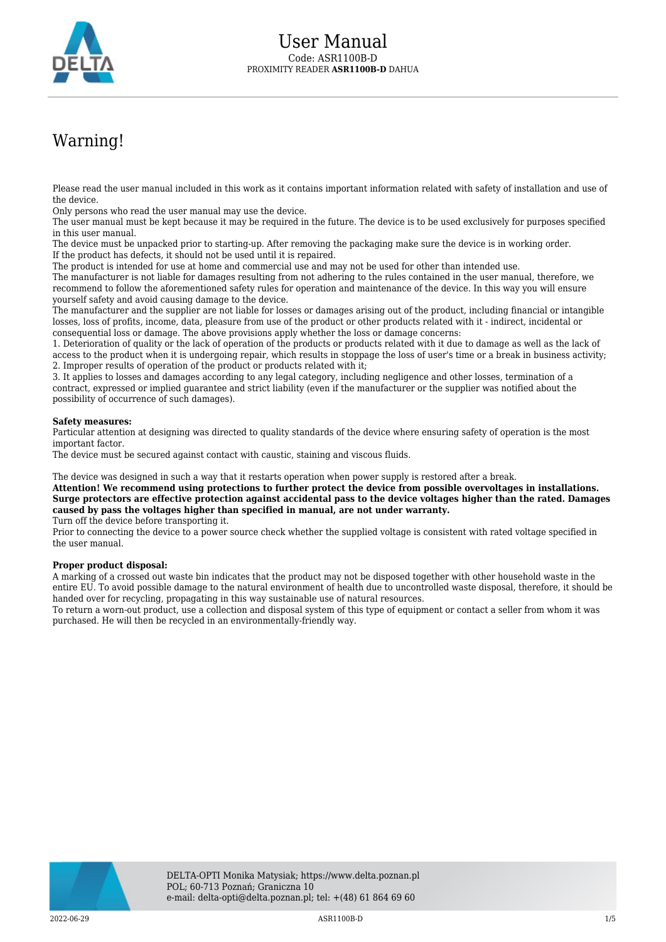

## Warning!

Please read the user manual included in this work as it contains important information related with safety of installation and use of the device.

Only persons who read the user manual may use the device.

The user manual must be kept because it may be required in the future. The device is to be used exclusively for purposes specified in this user manual.

The device must be unpacked prior to starting-up. After removing the packaging make sure the device is in working order. If the product has defects, it should not be used until it is repaired.

The product is intended for use at home and commercial use and may not be used for other than intended use.

The manufacturer is not liable for damages resulting from not adhering to the rules contained in the user manual, therefore, we recommend to follow the aforementioned safety rules for operation and maintenance of the device. In this way you will ensure yourself safety and avoid causing damage to the device.

The manufacturer and the supplier are not liable for losses or damages arising out of the product, including financial or intangible losses, loss of profits, income, data, pleasure from use of the product or other products related with it - indirect, incidental or consequential loss or damage. The above provisions apply whether the loss or damage concerns:

1. Deterioration of quality or the lack of operation of the products or products related with it due to damage as well as the lack of access to the product when it is undergoing repair, which results in stoppage the loss of user's time or a break in business activity; 2. Improper results of operation of the product or products related with it;

3. It applies to losses and damages according to any legal category, including negligence and other losses, termination of a contract, expressed or implied guarantee and strict liability (even if the manufacturer or the supplier was notified about the possibility of occurrence of such damages).

## **Safety measures:**

Particular attention at designing was directed to quality standards of the device where ensuring safety of operation is the most important factor.

The device must be secured against contact with caustic, staining and viscous fluids.

The device was designed in such a way that it restarts operation when power supply is restored after a break.

**Attention! We recommend using protections to further protect the device from possible overvoltages in installations. Surge protectors are effective protection against accidental pass to the device voltages higher than the rated. Damages caused by pass the voltages higher than specified in manual, are not under warranty.**

Turn off the device before transporting it.

Prior to connecting the device to a power source check whether the supplied voltage is consistent with rated voltage specified in the user manual.

## **Proper product disposal:**

A marking of a crossed out waste bin indicates that the product may not be disposed together with other household waste in the entire EU. To avoid possible damage to the natural environment of health due to uncontrolled waste disposal, therefore, it should be handed over for recycling, propagating in this way sustainable use of natural resources.

To return a worn-out product, use a collection and disposal system of this type of equipment or contact a seller from whom it was purchased. He will then be recycled in an environmentally-friendly way.

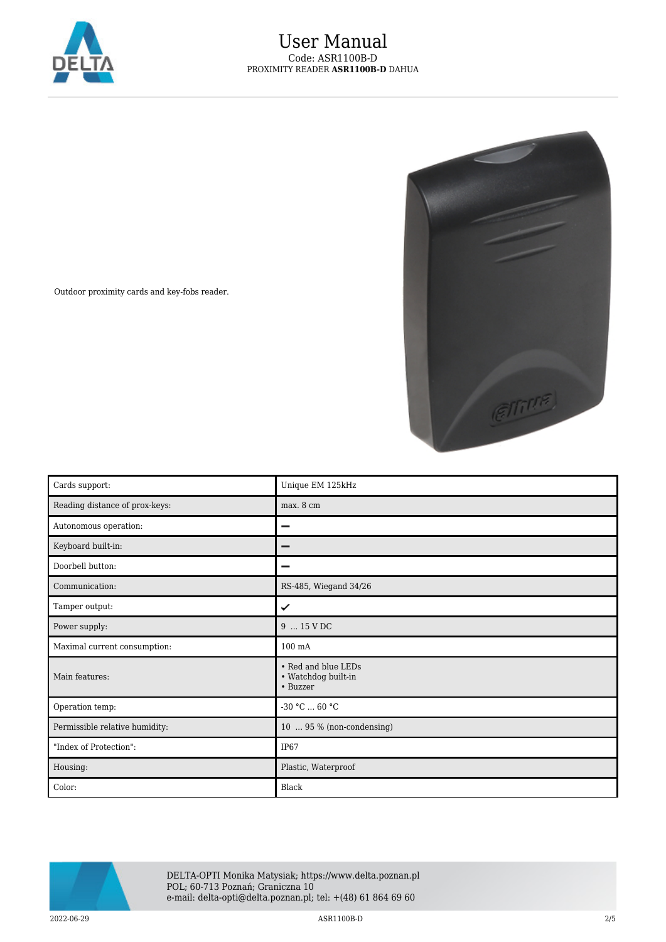



Outdoor proximity cards and key-fobs reader.

| Cards support:                 | Unique EM 125kHz                                       |
|--------------------------------|--------------------------------------------------------|
| Reading distance of prox-keys: | max. 8 cm                                              |
| Autonomous operation:          |                                                        |
| Keyboard built-in:             |                                                        |
| Doorbell button:               | -                                                      |
| Communication:                 | RS-485, Wiegand 34/26                                  |
| Tamper output:                 | ✓                                                      |
| Power supply:                  | 9  15 V DC                                             |
| Maximal current consumption:   | $100 \text{ mA}$                                       |
| Main features:                 | • Red and blue LEDs<br>• Watchdog built-in<br>• Buzzer |
| Operation temp:                | $-30$ °C $\ldots$ 60 °C                                |
| Permissible relative humidity: | 10  95 % (non-condensing)                              |
| "Index of Protection":         | IP <sub>67</sub>                                       |
| Housing:                       | Plastic, Waterproof                                    |
| Color:                         | Black                                                  |



DELTA-OPTI Monika Matysiak; https://www.delta.poznan.pl POL; 60-713 Poznań; Graniczna 10 e-mail: delta-opti@delta.poznan.pl; tel: +(48) 61 864 69 60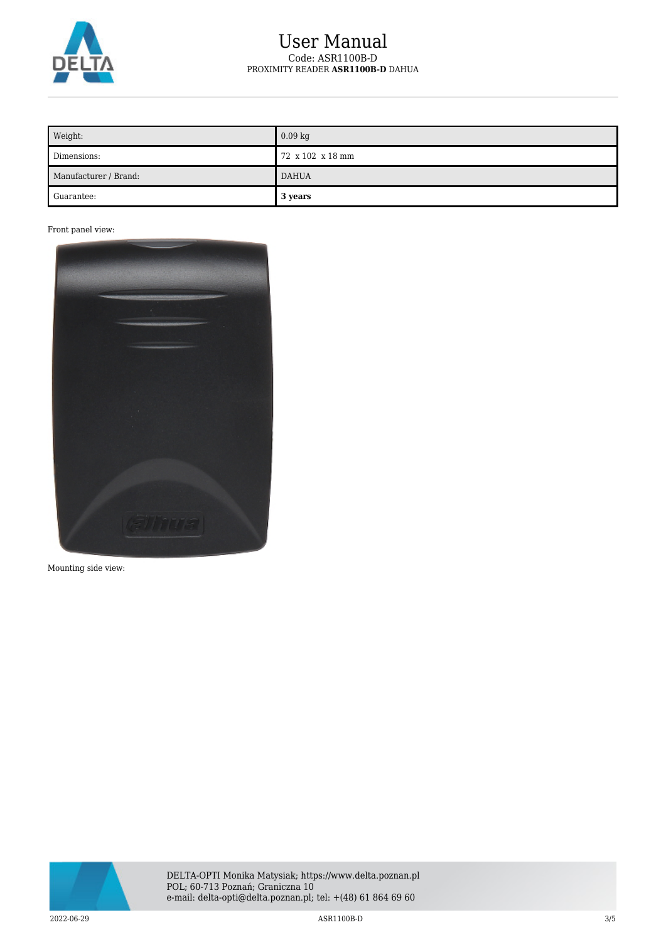

## User Manual Code: ASR1100B-D PROXIMITY READER **ASR1100B-D** DAHUA

| Weight:               | $0.09$ kg        |
|-----------------------|------------------|
| Dimensions:           | 72 x 102 x 18 mm |
| Manufacturer / Brand: | <b>DAHUA</b>     |
| Guarantee:            | 3 years          |

Front panel view:



Mounting side view:

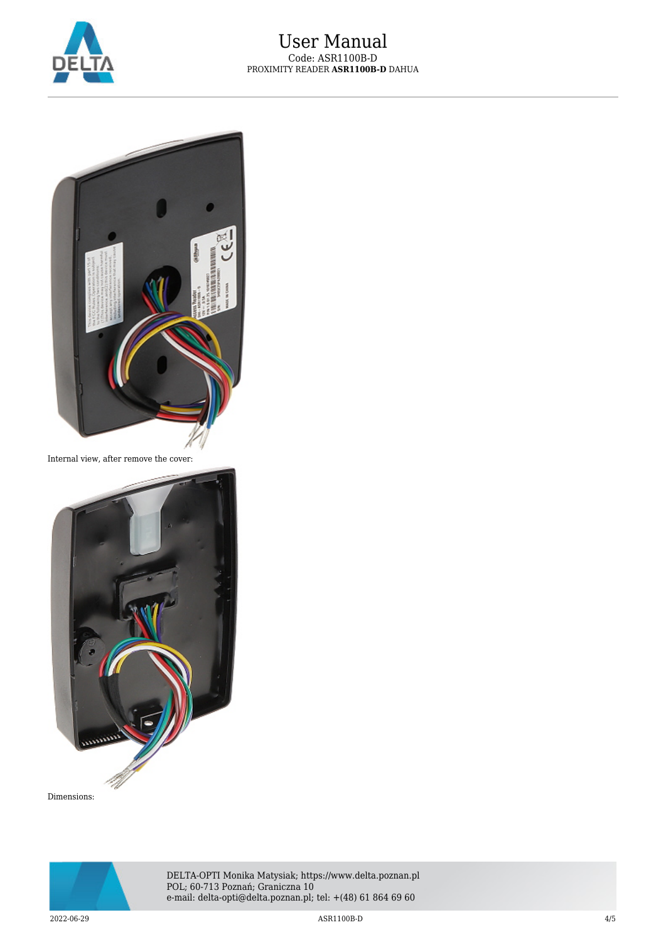



Internal view, after remove the cover:



Dimensions: